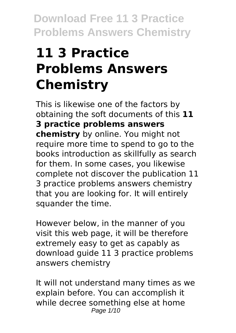# **11 3 Practice Problems Answers Chemistry**

This is likewise one of the factors by obtaining the soft documents of this **11 3 practice problems answers chemistry** by online. You might not require more time to spend to go to the books introduction as skillfully as search for them. In some cases, you likewise complete not discover the publication 11 3 practice problems answers chemistry that you are looking for. It will entirely squander the time.

However below, in the manner of you visit this web page, it will be therefore extremely easy to get as capably as download guide 11 3 practice problems answers chemistry

It will not understand many times as we explain before. You can accomplish it while decree something else at home Page 1/10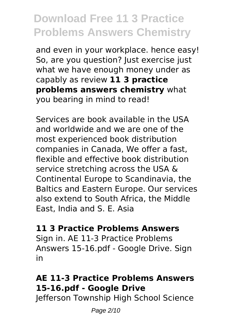and even in your workplace. hence easy! So, are you question? Just exercise just what we have enough money under as capably as review **11 3 practice problems answers chemistry** what you bearing in mind to read!

Services are book available in the USA and worldwide and we are one of the most experienced book distribution companies in Canada, We offer a fast, flexible and effective book distribution service stretching across the USA & Continental Europe to Scandinavia, the Baltics and Eastern Europe. Our services also extend to South Africa, the Middle East, India and S. E. Asia

#### **11 3 Practice Problems Answers**

Sign in. AE 11-3 Practice Problems Answers 15-16.pdf - Google Drive. Sign in

### **AE 11-3 Practice Problems Answers 15-16.pdf - Google Drive**

Jefferson Township High School Science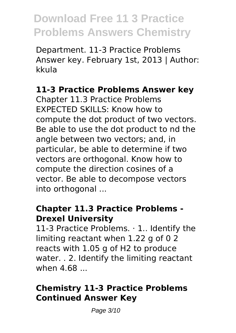Department. 11-3 Practice Problems Answer key. February 1st, 2013 | Author: kkula

#### **11-3 Practice Problems Answer key**

Chapter 11.3 Practice Problems EXPECTED SKILLS: Know how to compute the dot product of two vectors. Be able to use the dot product to nd the angle between two vectors; and, in particular, be able to determine if two vectors are orthogonal. Know how to compute the direction cosines of a vector. Be able to decompose vectors into orthogonal ...

#### **Chapter 11.3 Practice Problems - Drexel University**

11-3 Practice Problems. · 1.. Identify the limiting reactant when 1.22 g of 0 2 reacts with 1.05 g of H2 to produce water. . 2. Identify the limiting reactant when 4.68 ...

### **Chemistry 11-3 Practice Problems Continued Answer Key**

Page 3/10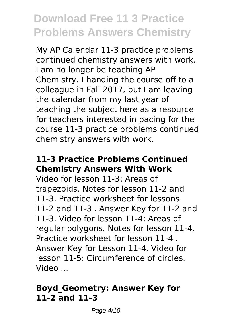My AP Calendar 11-3 practice problems continued chemistry answers with work. I am no longer be teaching AP Chemistry. I handing the course off to a colleague in Fall 2017, but I am leaving the calendar from my last year of teaching the subject here as a resource for teachers interested in pacing for the course 11-3 practice problems continued chemistry answers with work.

### **11-3 Practice Problems Continued Chemistry Answers With Work**

Video for lesson 11-3: Areas of trapezoids. Notes for lesson 11-2 and 11-3. Practice worksheet for lessons 11-2 and 11-3 . Answer Key for 11-2 and 11-3. Video for lesson 11-4: Areas of regular polygons. Notes for lesson 11-4. Practice worksheet for lesson 11-4 . Answer Key for Lesson 11-4. Video for lesson 11-5: Circumference of circles. Video ...

#### **Boyd\_Geometry: Answer Key for 11-2 and 11-3**

Page 4/10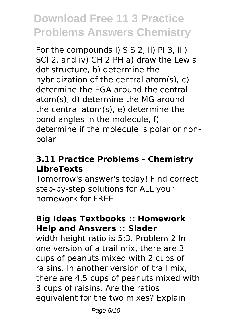For the compounds i) SiS 2, ii) PI 3, iii) SCl 2, and iv) CH 2 PH a) draw the Lewis dot structure, b) determine the hybridization of the central atom(s), c) determine the EGA around the central atom(s), d) determine the MG around the central atom(s), e) determine the bond angles in the molecule, f) determine if the molecule is polar or nonpolar

### **3.11 Practice Problems - Chemistry LibreTexts**

Tomorrow's answer's today! Find correct step-by-step solutions for ALL your homework for FREE!

### **Big Ideas Textbooks :: Homework Help and Answers :: Slader**

width:height ratio is 5:3. Problem 2 In one version of a trail mix, there are 3 cups of peanuts mixed with 2 cups of raisins. In another version of trail mix, there are 4.5 cups of peanuts mixed with 3 cups of raisins. Are the ratios equivalent for the two mixes? Explain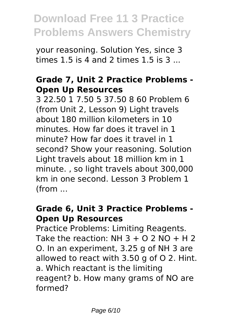your reasoning. Solution Yes, since 3 times 1.5 is 4 and 2 times 1.5 is 3 ...

#### **Grade 7, Unit 2 Practice Problems - Open Up Resources**

3 22.50 1 7.50 5 37.50 8 60 Problem 6 (from Unit 2, Lesson 9) Light travels about 180 million kilometers in 10 minutes. How far does it travel in 1 minute? How far does it travel in 1 second? Show your reasoning. Solution Light travels about 18 million km in 1 minute. , so light travels about 300,000 km in one second. Lesson 3 Problem 1 (from ...

#### **Grade 6, Unit 3 Practice Problems - Open Up Resources**

Practice Problems: Limiting Reagents. Take the reaction: NH  $3 + 0.2$  NO  $+$  H 2 O. In an experiment, 3.25 g of NH 3 are allowed to react with 3.50 g of O 2. Hint. a. Which reactant is the limiting reagent? b. How many grams of NO are formed?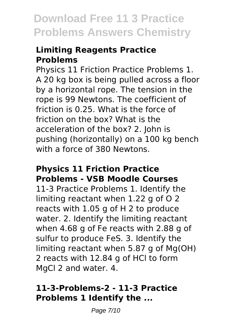#### **Limiting Reagents Practice Problems**

Physics 11 Friction Practice Problems 1. A 20 kg box is being pulled across a floor by a horizontal rope. The tension in the rope is 99 Newtons. The coefficient of friction is 0.25. What is the force of friction on the box? What is the acceleration of the box? 2. John is pushing (horizontally) on a 100 kg bench with a force of 380 Newtons.

#### **Physics 11 Friction Practice Problems - VSB Moodle Courses**

11-3 Practice Problems 1. Identify the limiting reactant when 1.22 g of O 2 reacts with 1.05 g of H 2 to produce water. 2. Identify the limiting reactant when 4.68 g of Fe reacts with 2.88 g of sulfur to produce FeS. 3. Identify the limiting reactant when 5.87 g of Mg(OH) 2 reacts with 12.84 g of HCl to form MgCl 2 and water. 4.

#### **11-3-Problems-2 - 11-3 Practice Problems 1 Identify the ...**

Page 7/10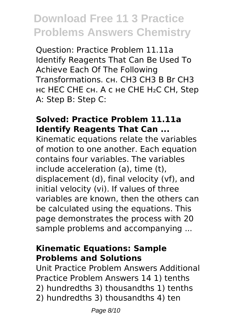Question: Practice Problem 11.11a Identify Reagents That Can Be Used To Achieve Each Of The Following Transformations. сн. CH3 CH3 B Br CH3 нс HEC CHE сн. A с не CHE H₂C CH, Step A: Step B: Step C:

#### **Solved: Practice Problem 11.11a Identify Reagents That Can ...**

Kinematic equations relate the variables of motion to one another. Each equation contains four variables. The variables include acceleration (a), time (t), displacement (d), final velocity (vf), and initial velocity (vi). If values of three variables are known, then the others can be calculated using the equations. This page demonstrates the process with 20 sample problems and accompanying ...

#### **Kinematic Equations: Sample Problems and Solutions**

Unit Practice Problem Answers Additional Practice Problem Answers 14 1) tenths 2) hundredths 3) thousandths 1) tenths 2) hundredths 3) thousandths 4) ten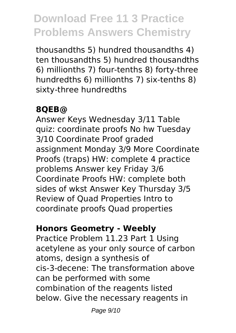thousandths 5) hundred thousandths 4) ten thousandths 5) hundred thousandths 6) millionths 7) four-tenths 8) forty-three hundredths 6) millionths 7) six-tenths 8) sixty-three hundredths

### **8QEB@**

Answer Keys Wednesday 3/11 Table quiz: coordinate proofs No hw Tuesday 3/10 Coordinate Proof graded assignment Monday 3/9 More Coordinate Proofs (traps) HW: complete 4 practice problems Answer key Friday 3/6 Coordinate Proofs HW: complete both sides of wkst Answer Key Thursday 3/5 Review of Quad Properties Intro to coordinate proofs Quad properties

#### **Honors Geometry - Weebly**

Practice Problem 11.23 Part 1 Using acetylene as your only source of carbon atoms, design a synthesis of cis-3-decene: The transformation above can be performed with some combination of the reagents listed below. Give the necessary reagents in